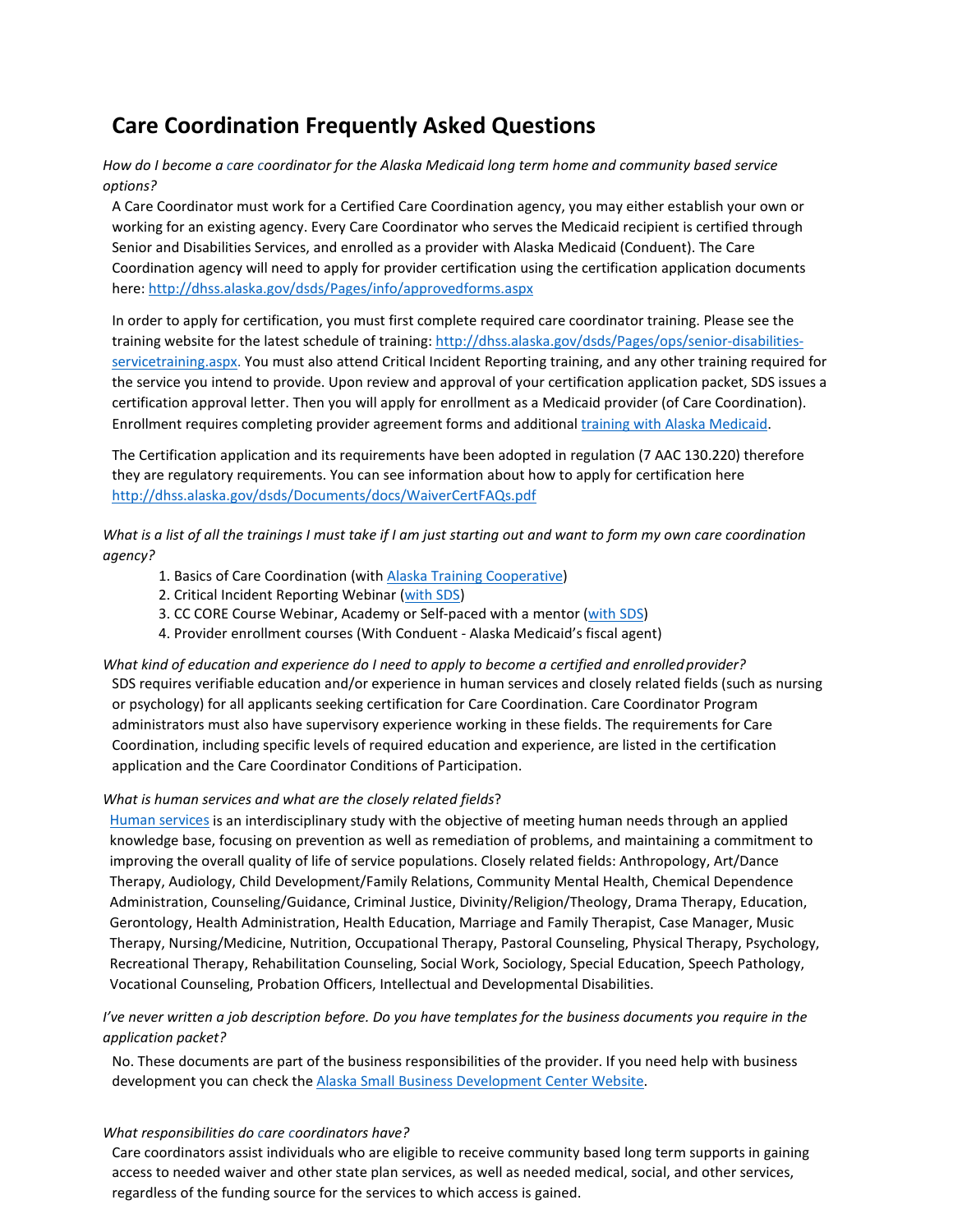# **Care Coordination Frequently Asked Questions**

*How do I become a care coordinator for the Alaska Medicaid long term home and community based service options?*

A Care Coordinator must work for a Certified Care Coordination agency, you may either establish your own or working for an existing agency. Every Care Coordinator who serves the Medicaid recipient is certified through Senior and Disabilities Services, and enrolled as a provider with Alaska Medicaid (Conduent). The Care Coordination agency will need to apply for provider certification using the certification application documents here[: http://dhss.alaska.gov/dsds/Pages/info/approvedforms.aspx](http://dhss.alaska.gov/dsds/Pages/info/approvedforms.aspx)

In order to apply for certification, you must first complete required care coordinator training. Please see the training website for the latest schedule of training: [http://dhss.alaska.gov/dsds/Pages/ops/senior-disabilities](http://dhss.alaska.gov/dsds/Pages/ops/senior-disabilities-servicetraining.aspx)[servicetraining.aspx. Y](http://dhss.alaska.gov/dsds/Pages/ops/senior-disabilities-servicetraining.aspx)ou must also attend Critical Incident Reporting training, and any other training required for the service you intend to provide. Upon review and approval of your certification application packet, SDS issues a certification approval letter. Then you will apply for enrollment as a Medicaid provider (of Care Coordination). Enrollment requires completing provider agreement forms and additiona[l training with Alaska Medicaid.](http://manuals.medicaidalaska.com/docs/akmedicaidtraining.htm)

The Certification application and its requirements have been adopted in regulation (7 AAC 130.220) therefore they are regulatory requirements. You can see information about how to apply for certification here <http://dhss.alaska.gov/dsds/Documents/docs/WaiverCertFAQs.pdf>

*What is a list of all the trainings I must take if I am just starting out and want to form my own care coordination agency?*

- 1. Basics of Care Coordination (with [Alaska Training Cooperative\)](http://www.ttclms.org/index.php)
- 2. Critical Incident Reporting Webinar [\(with SDS\)](http://dhss.alaska.gov/dsds/Pages/ops/senior-disabilities-servicetraining.aspx)
- 3. CC CORE Course Webinar, Academy or Self-paced with a mentor [\(with SDS\)](http://dhss.alaska.gov/dsds/Pages/ops/senior-disabilities-servicetraining.aspx)
- 4. Provider enrollment courses (With Conduent Alaska Medicaid's fiscal agent)

What kind of education and experience do I need to apply to become a certified and enrolled provider? SDS requires verifiable education and/or experience in human services and closely related fields (such as nursing or psychology) for all applicants seeking certification for Care Coordination. Care Coordinator Program administrators must also have supervisory experience working in these fields. The requirements for Care Coordination, including specific levels of required education and experience, are listed in the certification application and the Care Coordinator Conditions of Participation.

#### *What is human services and what are the closely related fields*?

[Human services](https://en.wikipedia.org/wiki/Human_services) is an interdisciplinary study with the objective of meeting human needs through an applied knowledge base, focusing on prevention as well as remediation of problems, and maintaining a commitment to improving the overall quality of life of service populations. Closely related fields: Anthropology, Art/Dance Therapy, Audiology, Child Development/Family Relations, Community Mental Health, Chemical Dependence Administration, Counseling/Guidance, Criminal Justice, Divinity/Religion/Theology, Drama Therapy, Education, Gerontology, Health Administration, Health Education, Marriage and Family Therapist, Case Manager, Music Therapy, Nursing/Medicine, Nutrition, Occupational Therapy, Pastoral Counseling, Physical Therapy, Psychology, Recreational Therapy, Rehabilitation Counseling, Social Work, Sociology, Special Education, Speech Pathology, Vocational Counseling, Probation Officers, Intellectual and Developmental Disabilities.

*I've never written a job description before. Do you have templates for the business documents you require in the application packet?*

No. These documents are part of the business responsibilities of the provider. If you need help with business development you can check th[e Alaska Small Business Development Center Website.](https://aksbdc.org/)

#### *What responsibilities do care coordinators have?*

Care coordinators assist individuals who are eligible to receive community based long term supports in gaining access to needed waiver and other state plan services, as well as needed medical, social, and other services, regardless of the funding source for the services to which access is gained.